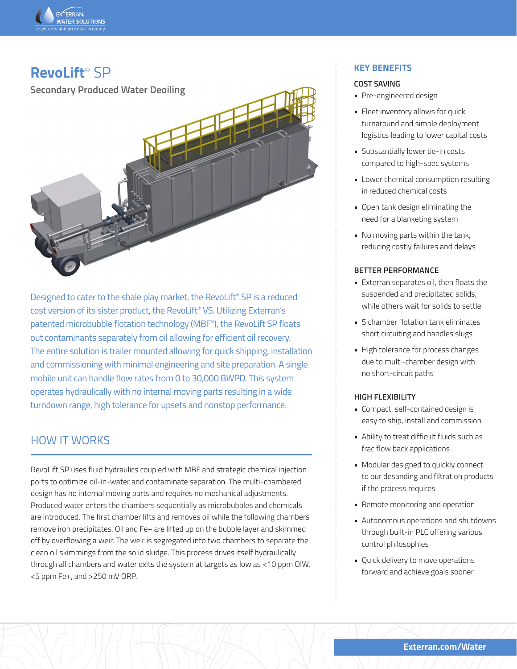

# **RevoLift**® SP

**Secondary Produced Water Deoiling**



Designed to cater to the shale play market, the RevoLift® SP is a reduced cost version of its sister product, the RevoLift® VS. Utilizing Exterran's patented microbubble flotation technology (MBF®), the RevoLift SP floats out contaminants separately from oil allowing for efficient oil recovery. The entire solution is trailer mounted allowing for quick shipping, installation and commissioning with minimal engineering and site preparation. A single mobile unit can handle flow rates from 0 to 30,000 BWPD. This system operates hydraulically with no internal moving parts resulting in a wide turndown range, high tolerance for upsets and nonstop performance.

# HOW IT WORKS

RevoLift SP uses fluid hydraulics coupled with MBF and strategic chemical injection ports to optimize oil-in-water and contaminate separation. The multi-chambered design has no internal moving parts and requires no mechanical adjustments. Produced water enters the chambers sequentially as microbubbles and chemicals are introduced. The first chamber lifts and removes oil while the following chambers remove iron precipitates. Oil and Fe+ are lifted up on the bubble layer and skimmed off by overflowing a weir. The weir is segregated into two chambers to separate the clean oil skimmings from the solid sludge. This process drives itself hydraulically through all chambers and water exits the system at targets as low as <10 ppm OIW, <5 ppm Fe+, and >250 mV ORP.

## **KEY BENEFITS**

#### **COST SAVING**

- Pre-engineered design
- Fleet inventory allows for quick turnaround and simple deployment logistics leading to lower capital costs
- Substantially lower tie-in costs compared to high-spec systems
- Lower chemical consumption resulting in reduced chemical costs
- Open tank design eliminating the need for a blanketing system
- No moving parts within the tank, reducing costly failures and delays

#### **BETTER PERFORMANCE**

- Exterran separates oil, then floats the suspended and precipitated solids, while others wait for solids to settle
- 5 chamber flotation tank eliminates short circuiting and handles slugs
- High tolerance for process changes due to multi-chamber design with no short-circuit paths

#### **HIGH FLEXIBILITY**

- Compact, self-contained design is easy to ship, install and commission
- Ability to treat difficult fluids such as frac flow back applications
- Modular designed to quickly connect to our desanding and filtration products if the process requires
- Remote monitoring and operation
- Autonomous operations and shutdowns through built-in PLC offering various control philosophies
- Quick delivery to move operations forward and achieve goals sooner